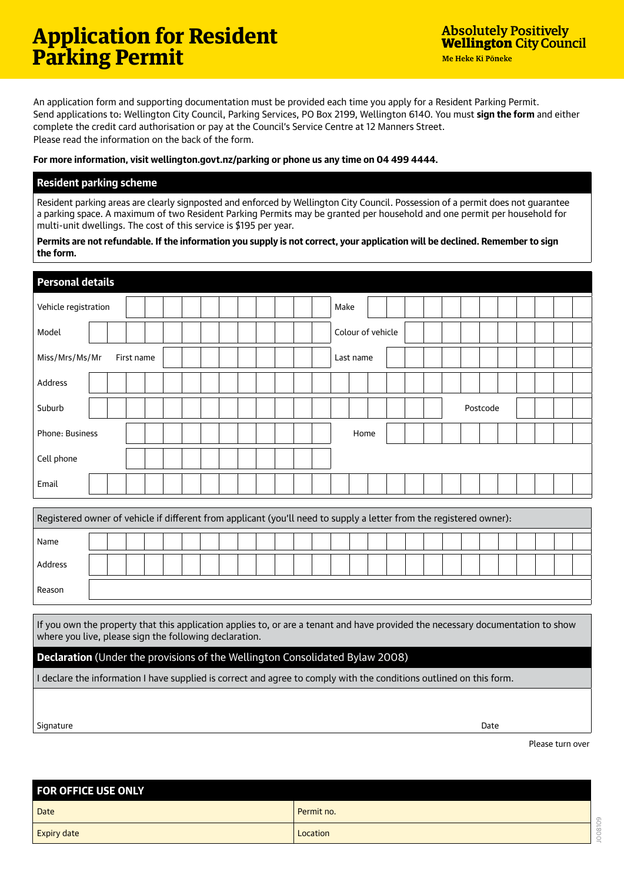An application form and supporting documentation must be provided each time you apply for a Resident Parking Permit. Send applications to: Wellington City Council, Parking Services, PO Box 2199, Wellington 6140. You must **sign the form** and either complete the credit card authorisation or pay at the Council's Service Centre at 12 Manners Street. Please read the information on the back of the form.

## **For more information, visit wellington.govt.nz/parking or phone us any time on 04 499 4444.**

## **Resident parking scheme**

Resident parking areas are clearly signposted and enforced by Wellington City Council. Possession of a permit does not guarantee a parking space. A maximum of two Resident Parking Permits may be granted per household and one permit per household for multi-unit dwellings. The cost of this service is \$195 per year.

**Permits are not refundable. If the information you supply is not correct, your application will be declined. Remember to sign the form.**

| <b>Personal details</b>                                                                                                                                                                                                                                                                                                                                           |                   |  |
|-------------------------------------------------------------------------------------------------------------------------------------------------------------------------------------------------------------------------------------------------------------------------------------------------------------------------------------------------------------------|-------------------|--|
| Vehicle registration                                                                                                                                                                                                                                                                                                                                              | Make              |  |
| Model                                                                                                                                                                                                                                                                                                                                                             | Colour of vehicle |  |
| Miss/Mrs/Ms/Mr<br>First name                                                                                                                                                                                                                                                                                                                                      | Last name         |  |
| Address                                                                                                                                                                                                                                                                                                                                                           |                   |  |
| Suburb                                                                                                                                                                                                                                                                                                                                                            | Postcode          |  |
| Phone: Business                                                                                                                                                                                                                                                                                                                                                   | Home              |  |
| Cell phone                                                                                                                                                                                                                                                                                                                                                        |                   |  |
| Email                                                                                                                                                                                                                                                                                                                                                             |                   |  |
|                                                                                                                                                                                                                                                                                                                                                                   |                   |  |
| Registered owner of vehicle if different from applicant (you'll need to supply a letter from the registered owner):                                                                                                                                                                                                                                               |                   |  |
| Name                                                                                                                                                                                                                                                                                                                                                              |                   |  |
| Address                                                                                                                                                                                                                                                                                                                                                           |                   |  |
| Reason                                                                                                                                                                                                                                                                                                                                                            |                   |  |
|                                                                                                                                                                                                                                                                                                                                                                   |                   |  |
| If you own the property that this application applies to, or are a tenant and have provided the necessary documentation to show<br>the first contract of the contract of the contract of the contract of the contract of the contract of the contract of the contract of the contract of the contract of the contract of the contract of the contract of the cont |                   |  |

where you live, please sign the following declaration.

## **Declaration** (Under the provisions of the Wellington Consolidated Bylaw 2008)

I declare the information I have supplied is correct and agree to comply with the conditions outlined on this form.

Signature Date

Please turn over

J008109

008109

| <b>FOR OFFICE USE ONLY</b> |            |
|----------------------------|------------|
| Date                       | Permit no. |
| <b>Expiry date</b>         | Location   |